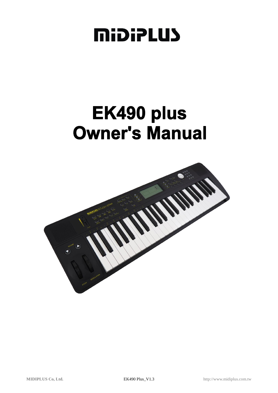# **MiDiPLUS**

# EK490 plus **Owner's Manual**

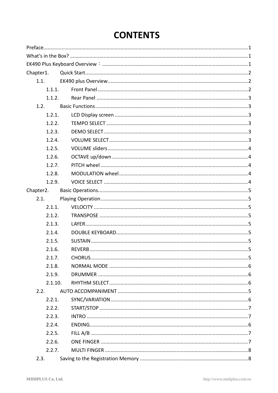# **CONTENTS**

| 1.1.1.                               |  |  |  |  |
|--------------------------------------|--|--|--|--|
| 1.1.2.                               |  |  |  |  |
|                                      |  |  |  |  |
| 1.2.1.                               |  |  |  |  |
| 1.2.2.                               |  |  |  |  |
| 1.2.3.                               |  |  |  |  |
| 1.2.4.                               |  |  |  |  |
|                                      |  |  |  |  |
|                                      |  |  |  |  |
| 1.2.7.                               |  |  |  |  |
| 1.2.8.                               |  |  |  |  |
| 1.2.9.                               |  |  |  |  |
|                                      |  |  |  |  |
|                                      |  |  |  |  |
| 2.1.1.                               |  |  |  |  |
| 2.1.2.                               |  |  |  |  |
| 2.1.3.                               |  |  |  |  |
| 2.1.4.                               |  |  |  |  |
|                                      |  |  |  |  |
|                                      |  |  |  |  |
| 2.1.7.                               |  |  |  |  |
| 2.1.8.                               |  |  |  |  |
| 2.1.9.                               |  |  |  |  |
| 2.1.10.                              |  |  |  |  |
|                                      |  |  |  |  |
| 2.2.1.                               |  |  |  |  |
| 2.2.2.                               |  |  |  |  |
| 2.2.3.                               |  |  |  |  |
| 2.2.4.                               |  |  |  |  |
| 2.2.5.                               |  |  |  |  |
| 2.2.6.                               |  |  |  |  |
| 2.2.7.                               |  |  |  |  |
|                                      |  |  |  |  |
| 1.2.5.<br>1.2.6.<br>2.1.5.<br>2.1.6. |  |  |  |  |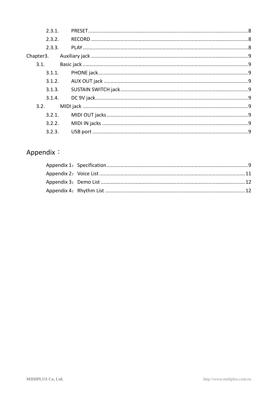| 2.3.1.<br>2.3.2.<br>2.3.3.<br>3.1.1.<br>3.1.2.<br>3.1.3.<br>3.1.4.<br>3.2.1.<br>3.2.2. |
|----------------------------------------------------------------------------------------|

## Appendix: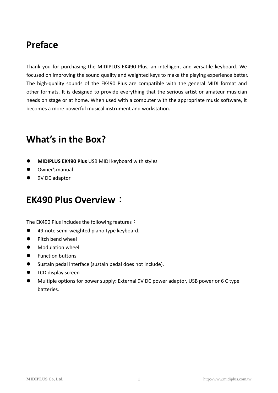# <span id="page-3-0"></span>**Preface**

Thank you for purchasing the MIDIPLUS EK490 Plus, an intelligent and versatile keyboard. We focused on improving the sound quality and weighted keys to make the playing experience better. The high-quality sounds of the EK490 Plus are compatible with the general MIDI format and other formats. It is designed to provide everything that the serious artist or amateur musician needs on stage or at home. When used with a computer with the appropriate music software, it becomes a more powerful musical instrument and workstation.

# <span id="page-3-1"></span>**What's in the Box?**

- **MIDIPLUS EK490 Plus** USB MIDI keyboard with styles
- Owner'smanual
- <span id="page-3-2"></span>● 9V DC adaptor

## **EK490 Plus Overview**:

The EK490 Plus includes the following features:

- 49-note semi-weighted piano type keyboard.
- **Pitch bend wheel**
- **•** Modulation wheel
- **•** Function buttons
- Sustain pedal interface (sustain pedal does not include).
- **•** LCD display screen
- Multiple options for power supply: External 9V DC power adaptor, USB power or 6 C type batteries.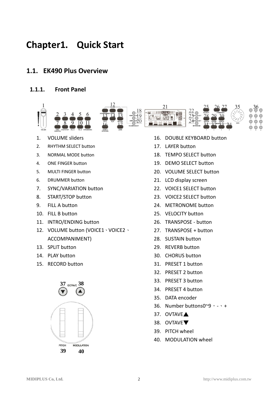# <span id="page-4-0"></span>**Chapter1. Quick Start**

#### <span id="page-4-1"></span>**1.1. EK490 Plus Overview**

#### <span id="page-4-2"></span>**1.1.1. Front Panel**



- 1. VOLUME sliders
- 2. RHYTHM SELECT button
- 3. NORMAL MODE button
- 4. ONE FINGER button
- 5. MULTI FINGER button
- 6. DRUMMER button
- 7. SYNC/VARIATION button
- 8. START/STOP button
- 9. FILL A button
- 10. FILL B button
- 11. INTRO/ENDING button
- 12. VOLUME button (VOICE1、VOICE2、 ACCOMPANIMENT)
- 13. SPLIT button
- 14. PLAY button
- 15. RECORD button



- 16. DOUBLE KEYBOARD button
- 17. LAYER button
- 18. TEMPO SELECT button
- 19. DEMO SELECT button
- 20. VOLUME SELECT button
- 21. LCD display screen
- 22. VOICE1 SELECT button
- 23. VOICE2 SELECT button
- 24. METRONOME button
- 25. VELOCITY button
- 26. TRANSPOSE button
- 27. TRANSPOSE + button
- 28. SUSTAIN button
- 29. REVERB button
- 30. CHORUS button
- 31. PRESET 1 button
- 32. PRESET 2 button
- 33. PRESET 3 button
- 34. PRESET 4 button
- 35. DATA encoder
- 36. Number buttons0~9,-、+
- 37. OVTAVE▲
- 38. OVTAVE▼
- 39. PITCH wheel
- 40. MODULATION wheel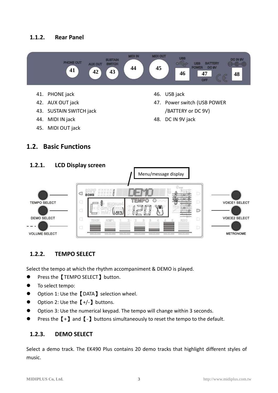#### <span id="page-5-0"></span>**1.1.2. Rear Panel**



48. DC IN 9V jack

- 44. MIDI IN jack
- 45. MIDI OUT jack

#### <span id="page-5-1"></span>**1.2. Basic Functions**

<span id="page-5-2"></span>

#### <span id="page-5-3"></span>**1.2.2. TEMPO SELECT**

<span id="page-5-4"></span>Select the tempo at which the rhythm accompaniment & DEMO is played.

- Press the【TEMPO SELECT】 button.
- **To select tempo:**
- Option 1: Use the 【DATA】 selection wheel.
- $\bullet$  Option 2: Use the  $[+/$ ] buttons.
- Option 3: Use the numerical keypad. The tempo will change within 3 seconds.
- **Press the**  $[+]$  **and**  $[-]$  **buttons simultaneously to reset the tempo to the default.**

#### **1.2.3. DEMO SELECT**

<span id="page-5-5"></span>Select a demo track. The EK490 Plus contains 20 demo tracks that highlight different styles of music.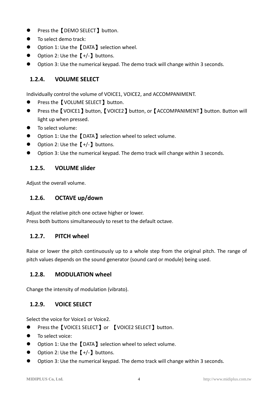- Press the 【DEMO SELECT 】 button.
- To select demo track:
- Option 1: Use the 【DATA】 selection wheel.
- $\bullet$  Option 2: Use the  $[+/.]$  buttons.
- Option 3: Use the numerical keypad. The demo track will change within 3 seconds.

#### **1.2.4. VOLUME SELECT**

Individually control the volume of VOICE1, VOICE2, and ACCOMPANIMENT.

- Press the【VOLUME SELECT】button.
- Press the 【VOICE1】button,【VOICE2】button, or【ACCOMPANIMENT】button. Button will light up when pressed.
- **•** To select volume:
- Option 1: Use the 【DATA】 selection wheel to select volume.
- Option 2: Use the  $[+/$ ] buttons.
- <span id="page-6-0"></span>Option 3: Use the numerical keypad. The demo track will change within 3 seconds.

#### **1.2.5. VOLUME slider**

<span id="page-6-1"></span>Adjust the overall volume.

#### **1.2.6. OCTAVE up/down**

Adjust the relative pitch one octave higher or lower.

<span id="page-6-2"></span>Press both buttons simultaneously to reset to the default octave.

#### **1.2.7. PITCH wheel**

Raise or lower the pitch continuously up to a whole step from the original pitch. The range of pitch values depends on the sound generator (sound card or module) being used.

#### <span id="page-6-3"></span>**1.2.8. MODULATION wheel**

<span id="page-6-4"></span>Change the intensity of modulation (vibrato).

#### **1.2.9. VOICE SELECT**

Select the voice for Voice1 or Voice2.

- Press the 【VOICE1 SELECT】or 【VOICE2 SELECT】button.
- To select voice:
- Option 1: Use the 【DATA】 selection wheel to select volume.
- Option 2: Use the  $[+/$ ] buttons.
- Option 3: Use the numerical keypad. The demo track will change within 3 seconds.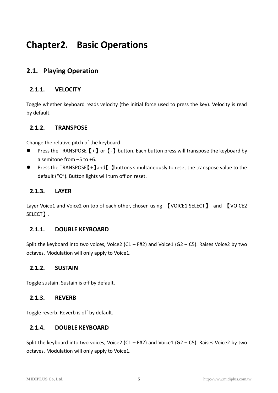# <span id="page-7-0"></span>**Chapter2. Basic Operations**

### <span id="page-7-1"></span>**2.1. Playing Operation**

#### <span id="page-7-2"></span>**2.1.1. VELOCITY**

Toggle whether keyboard reads velocity (the initial force used to press the key). Velocity is read by default.

#### <span id="page-7-3"></span>**2.1.2. TRANSPOSE**

<span id="page-7-4"></span>Change the relative pitch of the keyboard.

- **Press the TRANSPOSE**  $[+]$  **or**  $[-]$  **button. Each button press will transpose the keyboard by** a semitone from –5 to +6.
- Press the TRANSPOSE<sup>[+]</sup>and<sup>[-</sup>]buttons simultaneously to reset the transpose value to the default ("C"). Button lights will turn off on reset.

#### **2.1.3. LAYER**

Layer Voice1 and Voice2 on top of each other, chosen using 【VOICE1 SELECT】 and 【VOICE2 SELECT】.

#### <span id="page-7-5"></span>**2.1.1. DOUBLE KEYBOARD**

Split the keyboard into two voices, Voice2 (C1 – F#2) and Voice1 (G2 – C5). Raises Voice2 by two octaves. Modulation will only apply to Voice1.

#### <span id="page-7-6"></span>**2.1.2. SUSTAIN**

<span id="page-7-7"></span>Toggle sustain. Sustain is off by default.

#### **2.1.3. REVERB**

<span id="page-7-9"></span><span id="page-7-8"></span>Toggle reverb. Reverb is off by default.

#### **2.1.4. DOUBLE KEYBOARD**

Split the keyboard into two voices, Voice2 (C1 – F#2) and Voice1 (G2 – C5). Raises Voice2 by two octaves. Modulation will only apply to Voice1.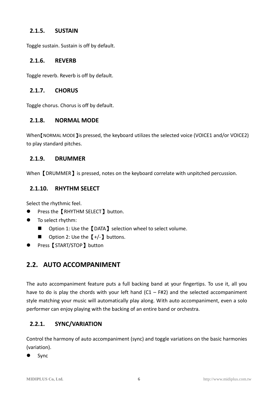#### **2.1.5. SUSTAIN**

Toggle sustain. Sustain is off by default.

#### **2.1.6. REVERB**

Toggle reverb. Reverb is off by default.

#### **2.1.7. CHORUS**

<span id="page-8-0"></span>Toggle chorus. Chorus is off by default.

#### **2.1.8. NORMAL MODE**

When [NORMAL MODE ] is pressed, the keyboard utilizes the selected voice (VOICE1 and/or VOICE2) to play standard pitches.

#### <span id="page-8-1"></span>**2.1.9. DRUMMER**

<span id="page-8-2"></span>When **[DRUMMER]** is pressed, notes on the keyboard correlate with unpitched percussion.

#### **2.1.10. RHYTHM SELECT**

<span id="page-8-4"></span>Select the rhythmic feel.

- Press the【RHYTHM SELECT】 button.
- $\bullet$  To select rhythm:
	- Option 1: Use the 【DATA】 selection wheel to select volume.
	- Option 2: Use the  $[+/$ ] buttons.
- Press【START/STOP】button

#### **2.2. AUTO ACCOMPANIMENT**

The auto accompaniment feature puts a full backing band at your fingertips. To use it, all you have to do is play the chords with your left hand  $(C1 - FH2)$  and the selected accompaniment style matching your music will automatically play along. With auto accompaniment, even a solo performer can enjoy playing with the backing of an entire band or orchestra.

#### <span id="page-8-3"></span>**2.2.1. SYNC/VARIATION**

Control the harmony of auto accompaniment (sync) and toggle variations on the basic harmonies (variation).

Sync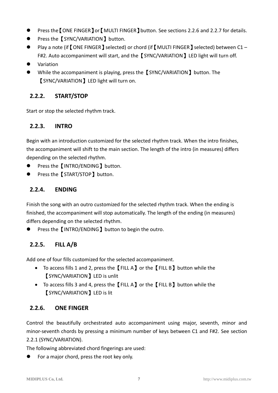- Press the【ONE FINGER】or【MULTI FINGER】button. See sections 2.2.6 and 2.2.7 for details.
- Press the【SYNC/VARIATION】button.
- Play a note (if [ONE FINGER] selected) or chord (if [MULTI FINGER] selected) between C1 -F#2. Auto accompaniment will start, and the [SYNC/VARIATION] LED light will turn off.
- Variation
- While the accompaniment is playing, press the [SYNC/VARIATION] button. The 【SYNC/VARIATION】LED light will turn on.

#### <span id="page-9-0"></span>**2.2.2. START/STOP**

<span id="page-9-1"></span>Start or stop the selected rhythm track.

#### **2.2.3. INTRO**

Begin with an introduction customized for the selected rhythm track. When the intro finishes, the accompaniment will shift to the main section. The length of the intro (in measures) differs depending on the selected rhythm.

- Press the 【INTRO/ENDING】button.
- Press the 【START/STOP】 button.

#### **2.2.4. ENDING**

Finish the song with an outro customized for the selected rhythm track. When the ending is finished, the accompaniment will stop automatically. The length of the ending (in measures) differs depending on the selected rhythm.

<span id="page-9-2"></span>Press the **[INTRO/ENDING**] button to begin the outro.

#### **2.2.5. FILL A/B**

Add one of four fills customized for the selected accompaniment.

- To access fills 1 and 2, press the【FILL A】or the【FILL B】button while the 【SYNC/VARIATION】LED is unlit
- To access fills 3 and 4, press the【FILL A】or the【FILL B】button while the 【SYNC/VARIATION】LED is lit

#### <span id="page-9-3"></span>**2.2.6. ONE FINGER**

Control the beautifully orchestrated auto accompaniment using major, seventh, minor and minor-seventh chords by pressing a minimum number of keys between C1 and F#2. See section 2.2.1 (SYNC/VARIATION).

The following abbreviated chord fingerings are used:

**•** For a major chord, press the root key only.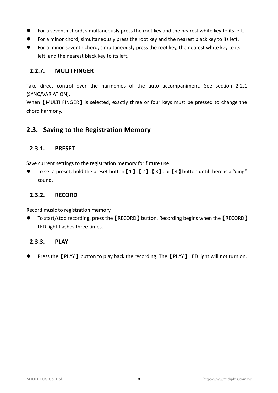- For a seventh chord, simultaneously press the root key and the nearest white key to its left.
- For a minor chord, simultaneously press the root key and the nearest black key to its left.
- For a minor-seventh chord, simultaneously press the root key, the nearest white key to its left, and the nearest black key to its left.

#### <span id="page-10-0"></span>**2.2.7. MULTI FINGER**

Take direct control over the harmonies of the auto accompaniment. See section 2.2.1 (SYNC/VARIATION).

When **[MULTI FINGER]** is selected, exactly three or four keys must be pressed to change the chord harmony.

#### <span id="page-10-1"></span>**2.3. Saving to the Registration Memory**

#### <span id="page-10-2"></span>**2.3.1. PRESET**

Save current settings to the registration memory for future use.

To set a preset, hold the preset button  $[1]$ ,  $[2]$ ,  $[3]$ , or  $[4]$  button until there is a "ding" sound.

#### <span id="page-10-3"></span>**2.3.2. RECORD**

Record music to registration memory.

 To start/stop recording, press the【RECORD】button. Recording begins when the【RECORD】 LED light flashes three times.

#### <span id="page-10-4"></span>**2.3.3. PLAY**

Press the **[PLAY]** button to play back the recording. The **[PLAY]** LED light will not turn on.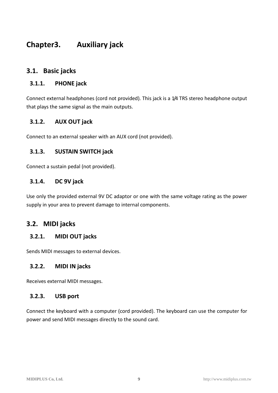## <span id="page-11-0"></span>**Chapter3. Auxiliary jack**

#### <span id="page-11-1"></span>**3.1. Basic jacks**

#### <span id="page-11-2"></span>**3.1.1. PHONE jack**

Connect external headphones (cord not provided). This jack is a 1/4 TRS stereo headphone output that plays the same signal as the main outputs.

#### <span id="page-11-3"></span>**3.1.2. AUX OUT jack**

<span id="page-11-4"></span>Connect to an external speaker with an AUX cord (not provided).

#### **3.1.3. SUSTAIN SWITCH jack**

<span id="page-11-5"></span>Connect a sustain pedal (not provided).

#### **3.1.4. DC 9V jack**

Use only the provided external 9V DC adaptor or one with the same voltage rating as the power supply in your area to prevent damage to internal components.

#### <span id="page-11-6"></span>**3.2. MIDI jacks**

#### <span id="page-11-7"></span>**3.2.1. MIDI OUT jacks**

<span id="page-11-8"></span>Sends MIDI messages to external devices.

#### **3.2.2. MIDI IN jacks**

<span id="page-11-9"></span>Receives external MIDI messages.

#### **3.2.3. USB port**

Connect the keyboard with a computer (cord provided). The keyboard can use the computer for power and send MIDI messages directly to the sound card.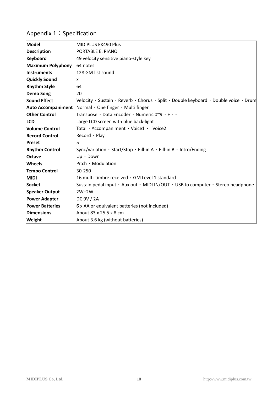## Appendix 1: Specification

| Model                    | <b>MIDIPLUS EK490 Plus</b>                                                                               |
|--------------------------|----------------------------------------------------------------------------------------------------------|
| <b>Description</b>       | PORTABLE E. PIANO                                                                                        |
| <b>Keyboard</b>          | 49 velocity sensitive piano-style key                                                                    |
| <b>Maximum Polyphony</b> | 64 notes                                                                                                 |
| <b>Instruments</b>       | 128 GM list sound                                                                                        |
| <b>Quickly Sound</b>     | X                                                                                                        |
| <b>Rhythm Style</b>      | 64                                                                                                       |
| <b>Demo Song</b>         | 20                                                                                                       |
| <b>Sound Effect</b>      | Velocity · Sustain · Reverb · Chorus · Split · Double keyboard · Double voice · Drum                     |
|                          | Auto Accompaniment Normal · One finger · Multi finger                                                    |
| <b>Other Control</b>     | Transpose · Data Encoder · Numeric 0~9 · + · -                                                           |
| <b>ILCD</b>              | Large LCD screen with blue back-light                                                                    |
| <b>Volume Control</b>    | Total · Accompaniment · Voice1 · Voice2                                                                  |
| <b>Record Control</b>    | Record · Play                                                                                            |
| <b>Preset</b>            | 5                                                                                                        |
| <b>Rhythm Control</b>    | Sync/variation $\cdot$ Start/Stop $\cdot$ Fill-in A $\cdot$ Fill-in B $\cdot$ Intro/Ending               |
| <b>Octave</b>            | $Up \cdot Down$                                                                                          |
| <b>Wheels</b>            | Pitch Modulation                                                                                         |
| <b>Tempo Control</b>     | 30-250                                                                                                   |
| <b>MIDI</b>              | 16 multi-timbre received, GM Level 1 standard                                                            |
| <b>Socket</b>            | Sustain pedal input $\cdot$ Aux out $\cdot$ MIDI IN/OUT $\cdot$ USB to computer $\cdot$ Stereo headphone |
| <b>Speaker Output</b>    | $2W+2W$                                                                                                  |
| <b>Power Adapter</b>     | DC 9V / 2A                                                                                               |
| <b>Power Batteries</b>   | 6 x AA or equivalent batteries (not included)                                                            |
| <b>Dimensions</b>        | About 83 x 25.5 x 8 cm                                                                                   |
| Weight                   | About 3.6 kg (without batteries)                                                                         |
|                          |                                                                                                          |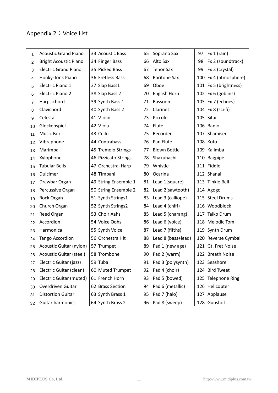## <span id="page-13-0"></span>Appendix 2: Voice List

| 1  | <b>Acoustic Grand Piano</b>    | 33 Acoustic Bass     | 65 | Soprano Sax         | 97 | Fx 1 (rain)           |
|----|--------------------------------|----------------------|----|---------------------|----|-----------------------|
| 2  | <b>Bright Acoustic Piano</b>   | 34 Finger Bass       | 66 | Alto Sax            | 98 | Fx 2 (soundtrack)     |
| 3  | <b>Electric Grand Piano</b>    | 35 Picked Bass       | 67 | <b>Tenor Sax</b>    | 99 | Fx 3 (crystal)        |
| 4  | Honky-Tonk Piano               | 36 Fretless Bass     | 68 | <b>Baritone Sax</b> |    | 100 Fx 4 (atmosphere) |
| 5  | Electric Piano 1               | 37 Slap Bass1        | 69 | Oboe                |    | 101 Fx 5 (brightness) |
| 6  | <b>Electric Piano 2</b>        | 38 Slap Bass 2       | 70 | English Horn        |    | 102 Fx 6 (goblins)    |
| 7  | Harpsichord                    | 39 Synth Bass 1      | 71 | Bassoon             |    | 103 Fx 7 (echoes)     |
| 8  | Clavichord                     | 40 Synth Bass 2      | 72 | Clarinet            |    | 104 Fx 8 (sci-fi)     |
| 9  | Celesta                        | 41 Violin            | 73 | Piccolo             |    | 105 Sitar             |
| 10 | Glockenspiel                   | 42 Viola             | 74 | Flute               |    | 106 Banjo             |
| 11 | <b>Music Box</b>               | 43 Cello             | 75 | Recorder            |    | 107 Shamisen          |
| 12 | Vibraphone                     | 44 Contrabass        | 76 | Pan Flute           |    | 108 Koto              |
| 13 | Marimba                        | 45 Tremolo Strings   | 77 | <b>Blown Bottle</b> |    | 109 Kalimba           |
| 14 | Xylophone                      | 46 Pizzicato Strings | 78 | Shakuhachi          |    | 110 Bagpipe           |
| 15 | <b>Tubular Bells</b>           | 47 Orchestral Harp   | 79 | Whistle             |    | 111 Fiddle            |
| 16 | Dulcimer                       | 48 Timpani           | 80 | Ocarina             |    | 112 Shanai            |
| 17 | Drawbar Organ                  | 49 String Ensemble 1 | 81 | Lead 1(square)      |    | 113 Tinkle Bell       |
| 18 | Percussive Organ               | 50 String Ensemble 2 | 82 | Lead 2(sawtooth)    |    | 114 Agogo             |
| 19 | Rock Organ                     | 51 Synth Strings1    | 83 | Lead 3 (calliope)   |    | 115 Steel Drums       |
| 20 | Church Organ                   | 52 Synth Strings2    | 84 | Lead 4 (chiff)      |    | 116 Woodblock         |
| 21 | Reed Organ                     | 53 Choir Aahs        | 85 | Lead 5 (charang)    |    | 117 Taiko Drum        |
| 22 | Accordion                      | 54 Voice Oohs        | 86 | Lead 6 (voice)      |    | 118 Melodic Tom       |
| 23 | Harmonica                      | 55 Synth Voice       | 87 | Lead 7 (fifths)     |    | 119 Synth Drum        |
| 24 | Tango Accordion                | 56 Orchestra Hit     | 88 | Lead 8 (bass+lead)  |    | 120 Reverse Cymbal    |
| 25 | Acoustic Guitar (nylon)        | 57 Trumpet           | 89 | Pad 1 (new age)     |    | 121 Gt. Fret Noise    |
| 26 | <b>Acoustic Guitar (steel)</b> | 58 Trombone          | 90 | Pad 2 (warm)        |    | 122 Breath Noise      |
| 27 | Electric Guitar (jazz)         | 59 Tuba              | 91 | Pad 3 (polysynth)   |    | 123 Seashore          |
| 28 | Electric Guitar (clean)        | 60 Muted Trumpet     | 92 | Pad 4 (choir)       |    | 124 Bird Tweet        |
| 29 | Electric Guitar (muted)        | 61 French Horn       | 93 | Pad 5 (bowed)       |    | 125 Telephone Ring    |
| 30 | Overdriven Guitar              | 62 Brass Section     | 94 | Pad 6 (metallic)    |    | 126 Helicopter        |
| 31 | <b>Distortion Guitar</b>       | 63 Synth Brass 1     | 95 | Pad 7 (halo)        |    | 127 Applause          |
| 32 | Guitar harmonics               | 64 Synth Brass 2     | 96 | Pad 8 (sweep)       |    | 128 Gunshot           |